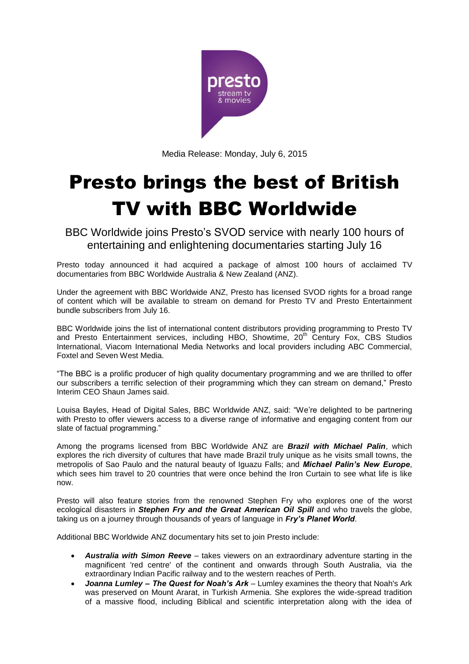

Media Release: Monday, July 6, 2015

# Presto brings the best of British TV with BBC Worldwide

BBC Worldwide joins Presto's SVOD service with nearly 100 hours of entertaining and enlightening documentaries starting July 16

Presto today announced it had acquired a package of almost 100 hours of acclaimed TV documentaries from BBC Worldwide Australia & New Zealand (ANZ).

Under the agreement with BBC Worldwide ANZ, Presto has licensed SVOD rights for a broad range of content which will be available to stream on demand for Presto TV and Presto Entertainment bundle subscribers from July 16.

BBC Worldwide joins the list of international content distributors providing programming to Presto TV and Presto Entertainment services, including HBO, Showtime, 20<sup>th</sup> Century Fox, CBS Studios International, Viacom International Media Networks and local providers including ABC Commercial, Foxtel and Seven West Media.

"The BBC is a prolific producer of high quality documentary programming and we are thrilled to offer our subscribers a terrific selection of their programming which they can stream on demand," Presto Interim CEO Shaun James said.

Louisa Bayles, Head of Digital Sales, BBC Worldwide ANZ, said: "We're delighted to be partnering with Presto to offer viewers access to a diverse range of informative and engaging content from our slate of factual programming."

Among the programs licensed from BBC Worldwide ANZ are *Brazil with Michael Palin*, which explores the rich diversity of cultures that have made Brazil truly unique as he visits small towns, the metropolis of Sao Paulo and the natural beauty of Iguazu Falls; and *Michael Palin's New Europe*, which sees him travel to 20 countries that were once behind the Iron Curtain to see what life is like now.

Presto will also feature stories from the renowned Stephen Fry who explores one of the worst ecological disasters in *Stephen Fry and the Great American Oil Spill* and who travels the globe, taking us on a journey through thousands of years of language in *Fry's Planet World*.

Additional BBC Worldwide ANZ documentary hits set to join Presto include:

- *Australia with Simon Reeve* takes viewers on an extraordinary adventure starting in the magnificent 'red centre' of the continent and onwards through South Australia, via the extraordinary Indian Pacific railway and to the western reaches of Perth.
- *Joanna Lumley – The Quest for Noah's Ark* Lumley examines the theory that Noah's Ark was preserved on Mount Ararat, in Turkish Armenia. She explores the wide-spread tradition of a massive flood, including Biblical and scientific interpretation along with the idea of